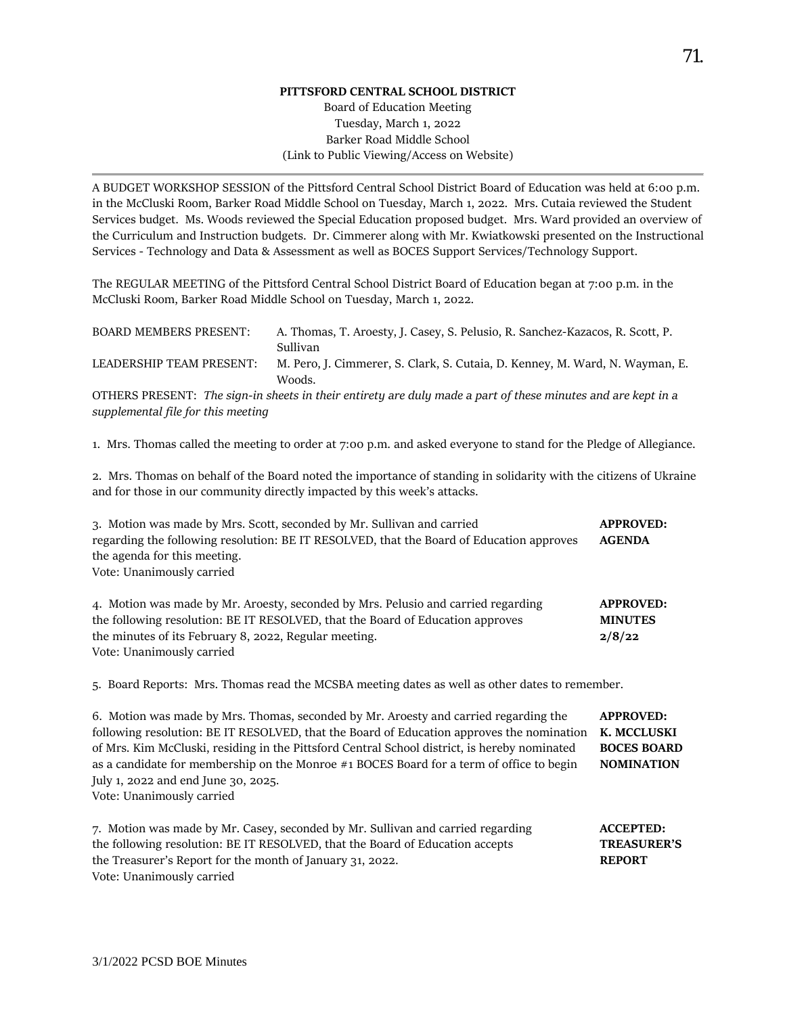## **PITTSFORD CENTRAL SCHOOL DISTRICT**

## Board of Education Meeting Tuesday, March 1, 2022 Barker Road Middle School (Link to Public Viewing/Access on Website)

A BUDGET WORKSHOP SESSION of the Pittsford Central School District Board of Education was held at 6:00 p.m. in the McCluski Room, Barker Road Middle School on Tuesday, March 1, 2022. Mrs. Cutaia reviewed the Student Services budget. Ms. Woods reviewed the Special Education proposed budget. Mrs. Ward provided an overview of the Curriculum and Instruction budgets. Dr. Cimmerer along with Mr. Kwiatkowski presented on the Instructional Services - Technology and Data & Assessment as well as BOCES Support Services/Technology Support.

The REGULAR MEETING of the Pittsford Central School District Board of Education began at 7:00 p.m. in the McCluski Room, Barker Road Middle School on Tuesday, March 1, 2022.

| BOARD MEMBERS PRESENT:                                                                                                                             | A. Thomas, T. Aroesty, J. Casey, S. Pelusio, R. Sanchez-Kazacos, R. Scott, P.<br>Sullivan                         |  |  |  |  |
|----------------------------------------------------------------------------------------------------------------------------------------------------|-------------------------------------------------------------------------------------------------------------------|--|--|--|--|
| LEADERSHIP TEAM PRESENT:                                                                                                                           | M. Pero, J. Cimmerer, S. Clark, S. Cutaia, D. Kenney, M. Ward, N. Wayman, E.<br>Woods.                            |  |  |  |  |
| OTHERS PRESENT: The sign-in sheets in their entirety are duly made a part of these minutes and are kept in a<br>supplemental file for this meeting |                                                                                                                   |  |  |  |  |
|                                                                                                                                                    | 1. Mrs. Thomas called the meeting to order at 7:00 p.m. and asked everyone to stand for the Pledge of Allegiance. |  |  |  |  |

2. Mrs. Thomas on behalf of the Board noted the importance of standing in solidarity with the citizens of Ukraine and for those in our community directly impacted by this week's attacks.

3. Motion was made by Mrs. Scott, seconded by Mr. Sullivan and carried **APPROVED:**  regarding the following resolution: BE IT RESOLVED, that the Board of Education approves **AGENDA**  the agenda for this meeting. Vote: Unanimously carried

| 4. Motion was made by Mr. Aroesty, seconded by Mrs. Pelusio and carried regarding | <b>APPROVED:</b> |
|-----------------------------------------------------------------------------------|------------------|
| the following resolution: BE IT RESOLVED, that the Board of Education approves    | <b>MINUTES</b>   |
| the minutes of its February 8, 2022, Regular meeting.                             | 2/8/22           |
| Vote: Unanimously carried                                                         |                  |

5. Board Reports: Mrs. Thomas read the MCSBA meeting dates as well as other dates to remember.

| 6. Motion was made by Mrs. Thomas, seconded by Mr. Aroesty and carried regarding the<br>following resolution: BE IT RESOLVED, that the Board of Education approves the nomination<br>of Mrs. Kim McCluski, residing in the Pittsford Central School district, is hereby nominated<br>as a candidate for membership on the Monroe #1 BOCES Board for a term of office to begin<br>July 1, 2022 and end June 30, 2025.<br>Vote: Unanimously carried | <b>APPROVED:</b><br>K. MCCLUSKI<br><b>BOCES BOARD</b><br><b>NOMINATION</b> |
|---------------------------------------------------------------------------------------------------------------------------------------------------------------------------------------------------------------------------------------------------------------------------------------------------------------------------------------------------------------------------------------------------------------------------------------------------|----------------------------------------------------------------------------|
| 7. Motion was made by Mr. Casey, seconded by Mr. Sullivan and carried regarding<br>the following resolution: BE IT RESOLVED, that the Board of Education accepts<br>the Treasurer's Report for the month of January 31, 2022.<br>Vote: Unanimously carried                                                                                                                                                                                        | <b>ACCEPTED:</b><br><b>TREASURER'S</b><br><b>REPORT</b>                    |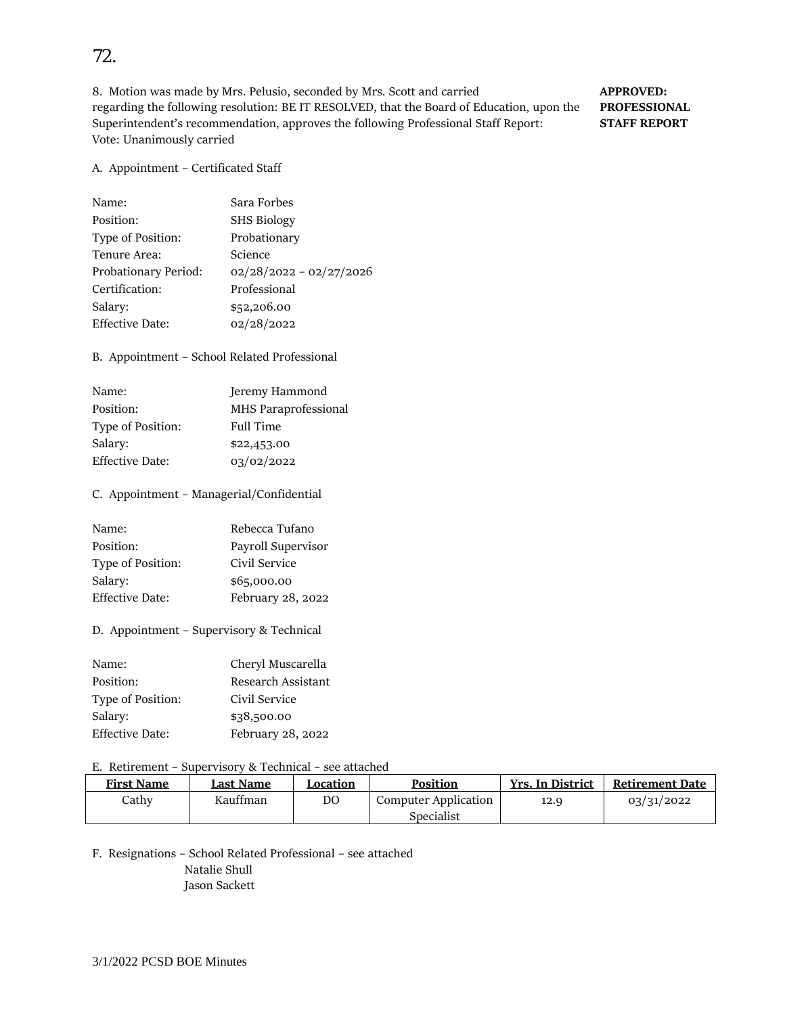8. Motion was made by Mrs. Pelusio, seconded by Mrs. Scott and carried **APPROVED:** regarding the following resolution: BE IT RESOLVED, that the Board of Education, upon the **PROFESSIONAL**  Superintendent's recommendation, approves the following Professional Staff Report: **STAFF REPORT**  Vote: Unanimously carried

#### A. Appointment – Certificated Staff

| Name:                  | Sara Forbes               |
|------------------------|---------------------------|
| Position:              | <b>SHS Biology</b>        |
| Type of Position:      | Probationary              |
| Tenure Area:           | Science                   |
| Probationary Period:   | $02/28/2022 - 02/27/2026$ |
| Certification:         | Professional              |
| Salary:                | \$52,206.00               |
| <b>Effective Date:</b> | 02/28/2022                |

B. Appointment – School Related Professional

| Jeremy Hammond       |
|----------------------|
| MHS Paraprofessional |
| <b>Full Time</b>     |
| \$22,453.00          |
| 03/02/2022           |
|                      |

#### C. Appointment – Managerial/Confidential

| Name:                  | Rebecca Tufano     |
|------------------------|--------------------|
| Position:              | Payroll Supervisor |
| Type of Position:      | Civil Service      |
| Salary:                | \$65,000.00        |
| <b>Effective Date:</b> | February 28, 2022  |

D. Appointment – Supervisory & Technical

| Name:             | Cheryl Muscarella  |
|-------------------|--------------------|
| Position:         | Research Assistant |
| Type of Position: | Civil Service      |
| Salary:           | \$38,500.00        |
| Effective Date:   | February 28, 2022  |

# E. Retirement – Supervisory & Technical – see attached

| <b>First Name</b> | Last Name | Location | <b>Position</b>      | <b>Yrs. In District</b> | <b>Retirement Date</b> |
|-------------------|-----------|----------|----------------------|-------------------------|------------------------|
| Cathy             | Kauffman  | DΟ       | Computer Application | 12.9                    | 03/31/2022             |
|                   |           |          | Specialist           |                         |                        |

F. Resignations – School Related Professional – see attached Natalie Shull Jason Sackett

# 72.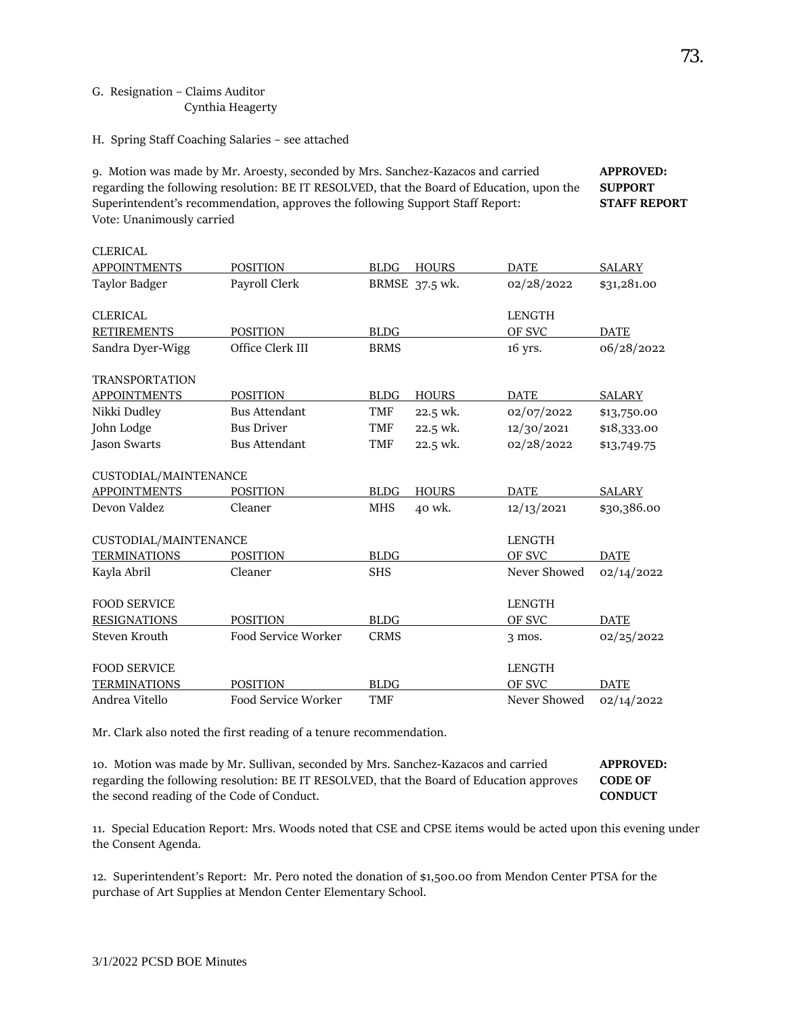### G. Resignation – Claims Auditor Cynthia Heagerty

 $C$ LEDICAL

H. Spring Staff Coaching Salaries – see attached

9. Motion was made by Mr. Aroesty, seconded by Mrs. Sanchez-Kazacos and carried **APPROVED:**  regarding the following resolution: BE IT RESOLVED, that the Board of Education, upon the **SUPPORT**  Superintendent's recommendation, approves the following Support Staff Report: **STAFF REPORT**  Vote: Unanimously carried

| CLENCAL               |                      |             |                |               |               |
|-----------------------|----------------------|-------------|----------------|---------------|---------------|
| <b>APPOINTMENTS</b>   | <b>POSITION</b>      | <b>BLDG</b> | <b>HOURS</b>   | <b>DATE</b>   | <b>SALARY</b> |
| Taylor Badger         | Payroll Clerk        |             | BRMSE 37.5 wk. | 02/28/2022    | \$31,281.00   |
| <b>CLERICAL</b>       |                      |             |                | <b>LENGTH</b> |               |
| <b>RETIREMENTS</b>    | <b>POSITION</b>      | <b>BLDG</b> |                | OF SVC        | <b>DATE</b>   |
| Sandra Dyer-Wigg      | Office Clerk III     | <b>BRMS</b> |                | 16 yrs.       | 06/28/2022    |
| <b>TRANSPORTATION</b> |                      |             |                |               |               |
| <b>APPOINTMENTS</b>   | <b>POSITION</b>      | <b>BLDG</b> | <b>HOURS</b>   | <b>DATE</b>   | <b>SALARY</b> |
| Nikki Dudley          | <b>Bus Attendant</b> | TMF         | 22.5 wk.       | 02/07/2022    | \$13,750.00   |
| John Lodge            | <b>Bus Driver</b>    | <b>TMF</b>  | 22.5 wk.       | 12/30/2021    | \$18,333.00   |
| <b>Jason Swarts</b>   | <b>Bus Attendant</b> | <b>TMF</b>  | 22.5 wk.       | 02/28/2022    | \$13,749.75   |
| CUSTODIAL/MAINTENANCE |                      |             |                |               |               |
| <b>APPOINTMENTS</b>   | <b>POSITION</b>      | <b>BLDG</b> | <b>HOURS</b>   | <b>DATE</b>   | <b>SALARY</b> |
| Devon Valdez          | Cleaner              | <b>MHS</b>  | 40 wk.         | 12/13/2021    | \$30,386.00   |
| CUSTODIAL/MAINTENANCE |                      |             |                | <b>LENGTH</b> |               |
| <b>TERMINATIONS</b>   | <b>POSITION</b>      | <b>BLDG</b> |                | OF SVC        | <b>DATE</b>   |
| Kayla Abril           | Cleaner              | <b>SHS</b>  |                | Never Showed  | 02/14/2022    |
| <b>FOOD SERVICE</b>   |                      |             |                | <b>LENGTH</b> |               |
| <b>RESIGNATIONS</b>   | <b>POSITION</b>      | <b>BLDG</b> |                | OF SVC        | <b>DATE</b>   |
| Steven Krouth         | Food Service Worker  | <b>CRMS</b> |                | $3$ mos.      | 02/25/2022    |
| <b>FOOD SERVICE</b>   |                      |             |                | <b>LENGTH</b> |               |
| <b>TERMINATIONS</b>   | <b>POSITION</b>      | <b>BLDG</b> |                | OF SVC        | <b>DATE</b>   |
| Andrea Vitello        | Food Service Worker  | <b>TMF</b>  |                | Never Showed  | 02/14/2022    |

Mr. Clark also noted the first reading of a tenure recommendation.

10. Motion was made by Mr. Sullivan, seconded by Mrs. Sanchez-Kazacos and carried **APPROVED:**  regarding the following resolution: BE IT RESOLVED, that the Board of Education approves **CODE OF**  the second reading of the Code of Conduct. **CONDUCT**

11. Special Education Report: Mrs. Woods noted that CSE and CPSE items would be acted upon this evening under the Consent Agenda.

12. Superintendent's Report: Mr. Pero noted the donation of \$1,500.00 from Mendon Center PTSA for the purchase of Art Supplies at Mendon Center Elementary School.